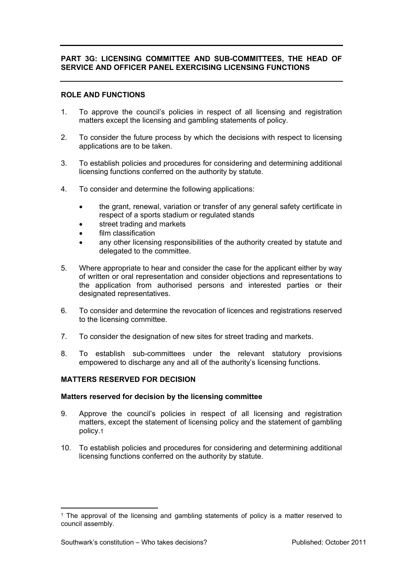# **PART 3G: LICENSING COMMITTEE AND SUB-COMMITTEES, THE HEAD OF SERVICE AND OFFICER PANEL EXERCISING LICENSING FUNCTIONS**

## **ROLE AND FUNCTIONS**

- 1. To approve the council's policies in respect of all licensing and registration matters except the licensing and gambling statements of policy.
- 2. To consider the future process by which the decisions with respect to licensing applications are to be taken.
- 3. To establish policies and procedures for considering and determining additional licensing functions conferred on the authority by statute.
- 4. To consider and determine the following applications:
	- the grant, renewal, variation or transfer of any general safety certificate in respect of a sports stadium or regulated stands
	- street trading and markets
	- film classification
	- any other licensing responsibilities of the authority created by statute and delegated to the committee.
- 5. Where appropriate to hear and consider the case for the applicant either by way of written or oral representation and consider objections and representations to the application from authorised persons and interested parties or their designated representatives.
- 6. To consider and determine the revocation of licences and registrations reserved to the licensing committee.
- 7. To consider the designation of new sites for street trading and markets.
- 8. To establish sub-committees under the relevant statutory provisions empowered to discharge any and all of the authority's licensing functions.

## **MATTERS RESERVED FOR DECISION**

### **Matters reserved for decision by the licensing committee**

- 9. Approve the council's policies in respect of all licensing and registration matters, except the statement of licensing policy and the statement of gambling policy.1
- 10. To establish policies and procedures for considering and determining additional licensing functions conferred on the authority by statute.

<sup>&</sup>lt;sup>1</sup> The approval of the licensing and gambling statements of policy is a matter reserved to council assembly.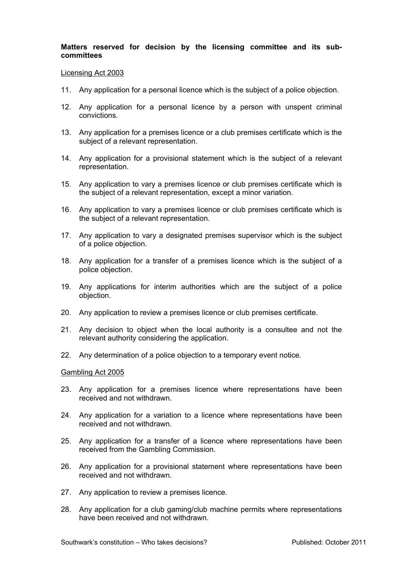## **Matters reserved for decision by the licensing committee and its subcommittees**

#### Licensing Act 2003

- 11. Any application for a personal licence which is the subject of a police objection.
- 12. Any application for a personal licence by a person with unspent criminal convictions.
- 13. Any application for a premises licence or a club premises certificate which is the subject of a relevant representation.
- 14. Any application for a provisional statement which is the subject of a relevant representation.
- 15. Any application to vary a premises licence or club premises certificate which is the subject of a relevant representation, except a minor variation.
- 16. Any application to vary a premises licence or club premises certificate which is the subject of a relevant representation.
- 17. Any application to vary a designated premises supervisor which is the subject of a police objection.
- 18. Any application for a transfer of a premises licence which is the subject of a police objection.
- 19. Any applications for interim authorities which are the subject of a police objection.
- 20. Any application to review a premises licence or club premises certificate.
- 21. Any decision to object when the local authority is a consultee and not the relevant authority considering the application.
- 22. Any determination of a police objection to a temporary event notice.

### Gambling Act 2005

- 23. Any application for a premises licence where representations have been received and not withdrawn.
- 24. Any application for a variation to a licence where representations have been received and not withdrawn.
- 25. Any application for a transfer of a licence where representations have been received from the Gambling Commission.
- 26. Any application for a provisional statement where representations have been received and not withdrawn.
- 27. Any application to review a premises licence.
- 28. Any application for a club gaming/club machine permits where representations have been received and not withdrawn.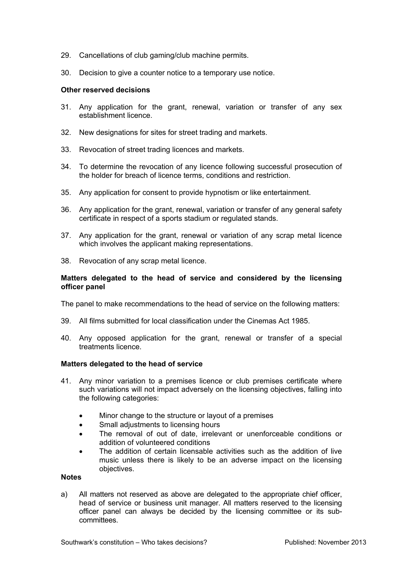- 29. Cancellations of club gaming/club machine permits.
- 30. Decision to give a counter notice to a temporary use notice.

### **Other reserved decisions**

- 31. Any application for the grant, renewal, variation or transfer of any sex establishment licence.
- 32. New designations for sites for street trading and markets.
- 33. Revocation of street trading licences and markets.
- 34. To determine the revocation of any licence following successful prosecution of the holder for breach of licence terms, conditions and restriction.
- 35. Any application for consent to provide hypnotism or like entertainment.
- 36. Any application for the grant, renewal, variation or transfer of any general safety certificate in respect of a sports stadium or regulated stands.
- 37. Any application for the grant, renewal or variation of any scrap metal licence which involves the applicant making representations.
- 38. Revocation of any scrap metal licence.

### **Matters delegated to the head of service and considered by the licensing officer panel**

The panel to make recommendations to the head of service on the following matters:

- 39. All films submitted for local classification under the Cinemas Act 1985.
- 40. Any opposed application for the grant, renewal or transfer of a special treatments licence.

## **Matters delegated to the head of service**

- 41. Any minor variation to a premises licence or club premises certificate where such variations will not impact adversely on the licensing objectives, falling into the following categories:
	- Minor change to the structure or layout of a premises
	- Small adjustments to licensing hours
	- The removal of out of date, irrelevant or unenforceable conditions or addition of volunteered conditions
	- The addition of certain licensable activities such as the addition of live music unless there is likely to be an adverse impact on the licensing objectives.

# **Notes**

a) All matters not reserved as above are delegated to the appropriate chief officer, head of service or business unit manager. All matters reserved to the licensing officer panel can always be decided by the licensing committee or its subcommittees.